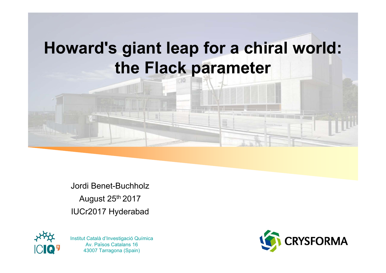# **Howard's giant leap for a chiral world: the Flack parameter**

Jordi Benet-BuchholzAugust 25th 2017 IUCr2017 Hyderabad



Av. Països Catalans 16 43007 Tarragona (Spain)

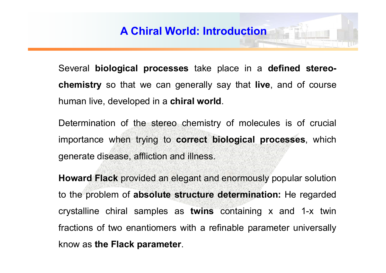Several **biological processes** take place in <sup>a</sup> **defined stereochemistry** so that we can generally say that **live**, and of course human live, developed in <sup>a</sup> **chiral world**.

Determination of the stereo chemistry of molecules is of crucial importance when trying to **correct biological processes**, which generate disease, affliction and illness.

**Howard Flack** provided an elegant and enormously popular solution to the problem of **absolute structure determination:** He regarded crystalline chiral samples as **twins** containing <sup>x</sup> and 1-x twin fractions of two enantiomers with <sup>a</sup> refinable parameter universally know as **the Flack parameter**.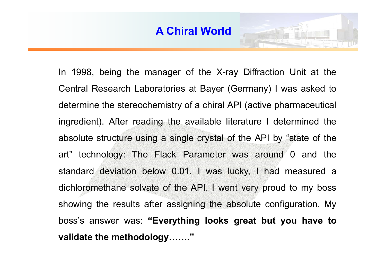

In 1998, being the manager of the X-ray Diffraction Unit at the Central Research Laboratories at Bayer (Germany) I was asked to determine the stereochemistry of <sup>a</sup> chiral API (active pharmaceutical ingredient). After reading the available literature I determined the absolute structure using <sup>a</sup> single crystal of the API by "state of the art" technology: The Flack Parameter was around 0 and the standard deviation below 0.01. I was lucky, I had measured <sup>a</sup> dichloromethane solvate of the API. I went very proud to my boss showing the results after assigning the absolute configuration. My boss's answer was: **"Everything looks great but you have to validate the methodology……."**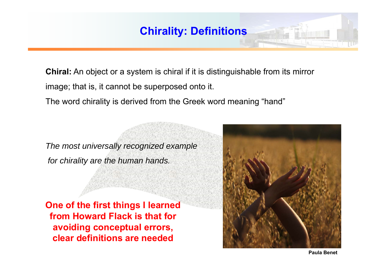**Chiral:** An object or a system is chiral if it is distinguishable from its mirror image; that is, it cannot be superposed onto it. The word chirality is derived from the Greek word meaning "hand"

*The most universally recognized example for chirality are the human hands.*

**One of the first things I learned from Howard Flack is that for avoiding conceptual errors, clear definitions are needed**

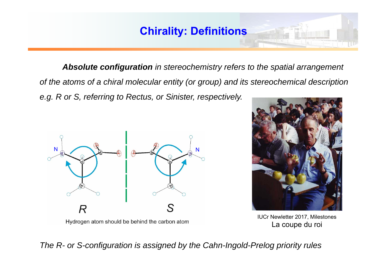*Absolute configuration in stereochemistry refers to the spatial arrangement of the atoms of a chiral molecular entity (or group) and its stereochemical description e.g. R or S, referring to Rectus, or Sinister, respectively.* 





IUCr Newletter 2017, Milestones La coupe du roi

*The R- or S-configuration is assigned by the Cahn-Ingold-Prelog priority rules*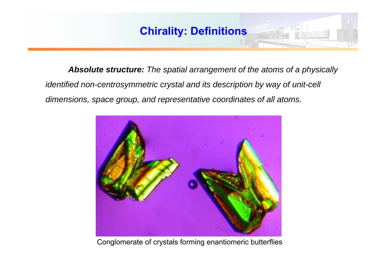*Absolute structure: The spatial arrangement of the atoms of a physically identified non-centrosymmetric crystal and its description by way of unit-cell dimensions, space group, and representative coordinates of all atoms.*



Conglomerate of crystals forming enantiomeric butterflies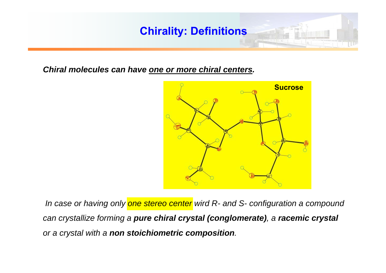*Chiral molecules can have one or more chiral centers.*



*In case or having only one stereo center wird R- and S- configuration a compound can crystallize forming a pure chiral crystal (conglomerate), <sup>a</sup>racemic crystal or a crystal with a non stoichiometric composition.*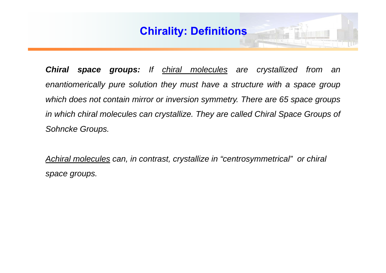*Chiral space groups: If chiral molecules are crystallized from an* enantiomerically pure solution they must have a structure with a space group which does not contain mirror or inversion symmetry. There are 65 space groups in which chiral molecules can crystallize. They are called Chiral Space Groups of *Sohncke Groups.*

*Achiral molecules can, in contrast, crystallize in "centrosymmetrical" or chiral space groups.*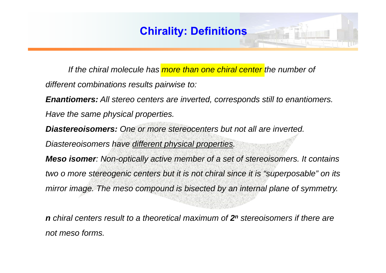*If the chiral molecule has more than one chiral center the number of* 

*different combinations results pairwise to:*

*Enantiomers: All stereo centers are inverted, corresponds still to enantiomers.* 

*Have the same physical properties.*

*Diastereoisomers: One or more stereocenters but not all are inverted. Diastereoisomers have different physical properties.*

*Meso isomer: Non-optically active member of a set of stereoisomers. It contains two o more stereogenic centers but it is not chiral since it is "superposable" on its mirror image. The meso compound is bisected by an internal plane of symmetry.*

*n chiral centers result to a theoretical maximum of 2n stereoisomers if there are not meso forms.*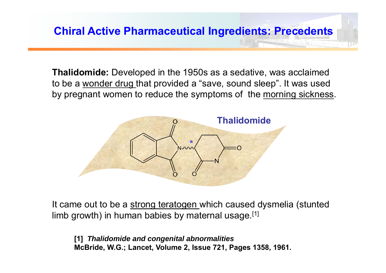**Thalidomide:** Developed in the 1950s as a sedative, was acclaimed to be a wonder drug that provided a "save, sound sleep". It was used by pregnant women to reduce the symptoms of the morning sickness.



It came out to be a strong teratogen which caused dysmelia (stunted limb growth) in human babies by maternal usage.<sup>[1]</sup>

**[1]** *Thalidomide and congenital abnormalities* **McBride, W.G.; Lancet, Volume 2, Issue 721, Pages 1358, 1961.**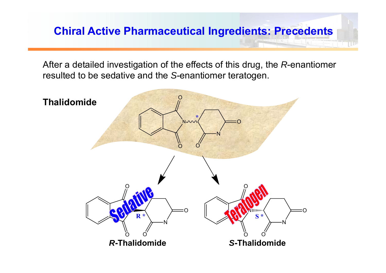# **Chiral Active Pharmaceutical Ingredients: Precedents**

After a detailed investigation of the effects of this drug, the *R*-enantiomer resulted to be sedative and the *S*-enantiomer teratogen.

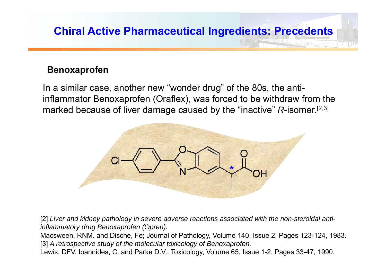# **Chiral Active Pharmaceutical Ingredients: Precedents**

#### **Benoxaprofen**

In a similar case, another new "wonder drug" of the 80s, the antiinflammator Benoxaprofen (Oraflex), was forced to be withdraw from the marked because of liver damage caused by the "inactive" *R*-isomer.[2,3]



[2] *Liver and kidney pathology in severe adverse reactions associated with the non-steroidal antiinflammatory drug Benoxaprofen (Opren).*

Macsween, RNM. and Dische, Fe; Journal of Pathology, Volume 140, Issue 2, Pages 123-124, 1983. [3] *A retrospective study of the molecular toxicology of Benoxaprofen.*

Lewis, DFV. Ioannides, C. and Parke D.V.; Toxicology, Volume 65, Issue 1-2, Pages 33-47, 1990.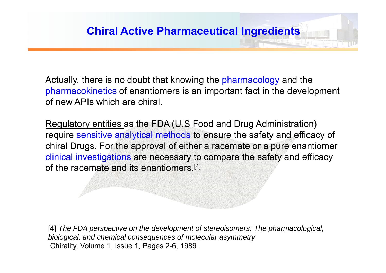Actually, there is no doubt that knowing the pharmacology and the pharmacokinetics of enantiomers is an important fact in the development of new APIs which are chiral.

Regulatory entities as the FDA (U.S Food and Drug Administration) require sensitive analytical methods to ensure the safety and efficacy of chiral Drugs. For the approval of either a racemate or a pure enantiomer clinical investigations are necessary to compare the safety and efficacy of the racemate and its enantiomers.[4]

[4] The FDA perspective on the development of stereoisomers: The pharmacological, *biological, and chemical consequences of molecular asymmetry* Chirality, Volume 1, Issue 1, Pages 2-6, 1989.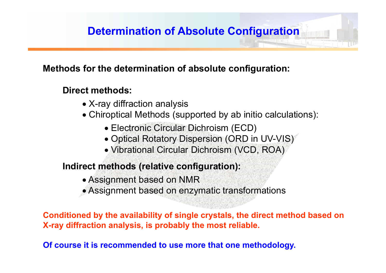#### **Methods for the determination of absolute configuration:**

#### **Direct methods:**

- X-ray diffraction analysis
- Chiroptical Methods (supported by ab initio calculations):
	- Electronic Circular Dichroism (ECD)
	- Optical Rotatory Dispersion (ORD in UV-VIS)
	- Vibrational Circular Dichroism (VCD, ROA)

#### **Indirect methods (relative configuration):**

- Assignment based on NMR
- Assignment based on enzymatic transformations

**Conditioned by the availability of single crystals, the direct method based on X-ray diffraction analysis, is probably the most reliable.**

**Of course it is recommended to use more that one methodology.**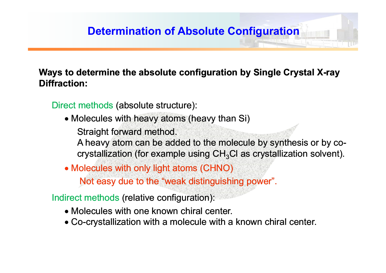# **Determination of Absolute Configuration**

#### **Ways to determine the absolute configuration by Single Crystal X-ray Diffraction:**

Direct methods (absolute structure):

- Molecules with heavy atoms (heavy than Si) Straight forward method.
	- A heavy atom can be added to the molecule by synthesis or by co - A heavy atom can be added to the molecule by synthesis or by co-<br>crystallization (for example using CH<sub>3</sub>Cl as crystallization solvent).
- Molecules with only light atoms (CHNO) Not easy due to the "weak distinguishing power".

Indirect methods (relative configuration):

- Molecules with one known chiral center.
- Co-crystallization with a molecule with a known chiral center.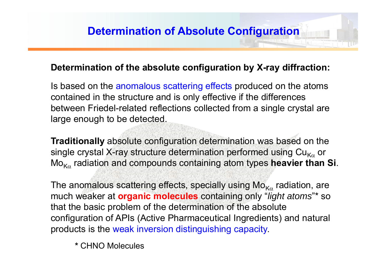#### **Determination of the absolute configuration by X-ray diffraction:**

Is based on the anomalous scattering effects produced on the atoms contained in the structure and is only effective if the differences between Friedel-related reflections collected from a single crystal are large enough to be detected.

**Traditionally** absolute configuration determination was based on the single crystal X-ray structure determination performed using  $\mathsf{Cu}_{\mathsf{K}\alpha}$  or Mo K radiation and compounds containing atom types **heavier than Si**.

The anomalous scattering effects, specially using  $\mathsf{Mo}_{\mathsf{K}\alpha}$  radiation, are much weaker at **organic molecules** containing only "*light atoms*"\* so that the basic problem of the determination of the absolute configuration of APIs (Active Pharmaceutical Ingredients) and natural products is the weak inversion distinguishing capacity.

**\*** CHNO Molecules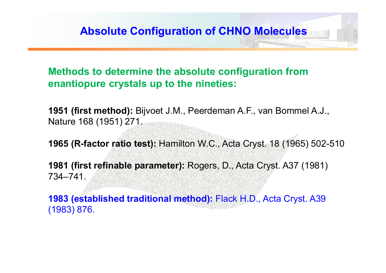#### **Methods to determine the absolute configuration from enantiopure crystals up to the nineties:**

**1951 (first method):** Bijvoet J.M., Peerdeman A.F., van Bommel A.J., Nature 168 (1951) 271.

**1965 (R-factor ratio test):** Hamilton W.C., Acta Cryst. 18 (1965) 502-510

**1981 (first refinable parameter):** Rogers, D., Acta Cryst. A37 (1981) 734–741.

**1983 (established traditional method):** Flack H.D., Acta Cryst. A39 (1983) 876.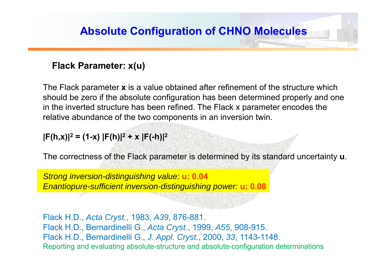#### **Flack Parameter: x(u)**

The Flack parameter **<sup>x</sup>** is a value obtained after refinement of the structure which should be zero if the absolute configuration has been determined properly and one in the inverted structure has been refined. The Flack x parameter encodes the relative abundance of the two components in an inversion twin.

**|F(h,x)|2 = (1-x) |F(h)|2 + x |F(-h)|2**

The correctness of the Flack parameter is determined by its standard uncertainty **<sup>u</sup>**.

*Strong inversion-distinguishing value:* **u: 0.04** *Enantiopure-sufficient inversion-distinguishing power:* **u: 0.08**

Flack H.D., *Acta Cryst.*, 1983, *A39*, 876-881. Flack H.D., Bernardinelli G., *Acta Cryst.*, 1999, *A55*, 908-915. Flack H.D., Bernardinelli G., *J. Appl. Cryst.*, 2000, *33*, 1143-1148. Reporting and evaluating absolute-structure and absolute-configuration determinations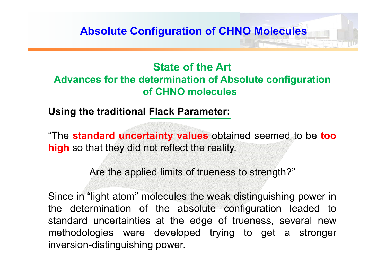### **State of the ArtAdvances for the determination of Absolute configuration of CHNO molecules**

**Using the traditional Flack Parameter:**

"The **standard uncertainty values** obtained seemed to be **too high** so that they did not reflect the reality.

Are the applied limits of trueness to strength?"

Since in "light atom" molecules the weak distinguishing power in the determination of the absolute configuration leaded to standard uncertainties at the edge of trueness, several new methodologies were developed trying to get <sup>a</sup> stronger inversion-distinguishing power.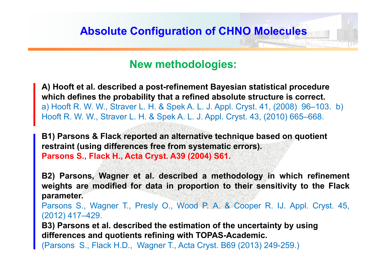#### **New methodologies:**

**A) Hooft et al. described a post-refinement Bayesian statistical procedure which defines the probability that a refined absolute structure is correct.** a) Hooft R. W. W., Straver L. H. & Spek A. L. J. Appl. Cryst. 41, (2008) 96–103. b) Hooft R. W. W., Straver L. H. & Spek A. L. J. Appl. Cryst. 43, (2010) 665–668.

**B1) Parsons & Flack reported an alternative technique based on quotient restraint (using differences free from systematic errors). Parsons S., Flack H., Acta Cryst. A39 (2004) S61.**

**B2) Parsons, Wagner et al. described <sup>a</sup> methodology in which refinement** weights are modified for data in proportion to their sensitivity to the Flack **parameter.**

Parsons S., Wagner T., Presly O., Wood P. A. & Cooper R. IJ. Appl. Cryst. 45, (2012) 417–429.

**B3) Parsons et al. described the estimation of the uncertainty by using differences and quotients refining with TOPAS-Academic.**

(Parsons S., Flack H.D., Wagner T., Acta Cryst. B69 (2013) 249-259.)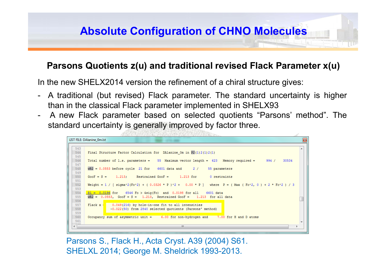#### **Parsons Quotients z(u) and traditional revised Flack Parameter x(u)**

In the new SHELX2014 version the refinement of <sup>a</sup> chiral structure gives:

- $\overline{\phantom{a}}$  A traditional (but revised) Flack parameter. The standard uncertainty is higher than in the classical Flack parameter implemented in SHELX93
- $\overline{\phantom{a}}$  A new Flack parameter based on selected quotients "Parsons' method". The standard uncertainty is generally improved by factor three.

```
LIST FILE: DAlanine Om.Ist
543
      Final Structure Factor Calculation for DAlanine Om in P2(1)2(1)2(1)
544
545
546
     Total number of 1.s. parameters = 55 Maximum vector length = 623 Memory required =
                                                                                                994/30534
547
548
      wR2 = 0.0553 before cycle 21 for 6601 data and 2 /
                                                                  55 parameters
549
550
      GooF = S = 1.213; Restrained GooF = 1.213 for 0 restraints
551
552
      Weight = 1 / [ signmax2(Fo^2) + ( 0.0326 * P )^2 + 0.00 * P ] where P = ( Max ( Fo^2, 0 ) + 2 * Fc^2 ) / 3
553
554
      R1 = 0.0196 for 6546 Fo > 4sig(Fo) and 0.0198 for all 6601 data
555
      WR2 = 0.0553, GooF = S = 1.213, Restrained GooF = 1.213 for all data
556
557
      Flack x = 0.049(216) by hole-in-one fit to all intensities
558
                  -0.022(50) from 2840 selected quotients (Parsons' method)
559
560
      Occupancy sum of asymmetric unit = 6.00 for non-hydrogen and
                                                                      7.00 for H and D atoms
561
```
Parsons S., Flack H., Acta Cryst. A39 (2004) S61. SHELXL 2014; George M. Sheldrick 1993-2013.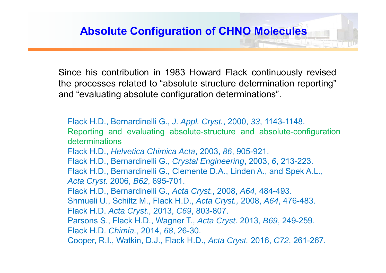Since his contribution in 1983 Howard Flack continuously revised the processes related to "absolute structure determination reporting" and "evaluating absolute configuration determinations".

Flack H.D., Bernardinelli G., *J. Appl. Cryst.*, 2000, *33*, 1143-1148. Reporting and evaluating absolute-structure and absolute-configuration determinationsFlack H.D., *Helvetica Chimica Acta*, 2003, *86*, 905-921. Flack H.D., Bernardinelli G., *Crystal Engineering*, 2003, *6*, 213-223. Flack H.D., Bernardinelli G., Clemente D.A., Linden A., and Spek A.L., *Acta Cryst.* 2006, *B62*, 695-701. Flack H.D., Bernardinelli G., *Acta Cryst.*, 2008, *A64*, 484-493. Shmueli U., Schiltz M., Flack H.D., *Acta Cryst.,* 2008, *A64*, 476-483. Flack H.D. *Acta Cryst.*, 2013, *C69*, 803-807. Parsons S., Flack H.D., Wagner T., *Acta Cryst.* 2013, *B69*, 249-259. Flack H.D. *Chimia.*, 2014, *68*, 26-30. Cooper, R.I., Watkin, D.J., Flack H.D., *Acta Cryst.* 2016, *C72*, 261-267.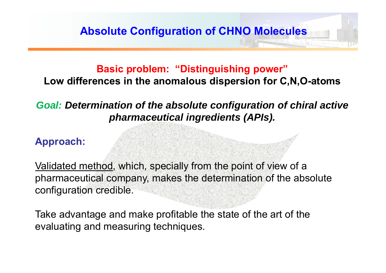#### **Basic problem: "Distinguishing power"**

**Low differences in the anomalous dispersion for C,N,O-atoms**

#### *Goal: Determination of the absolute configuration of chiral active pharmaceutical ingredients (APIs).*

#### **Approach:**

Validated method, which, specially from the point of view of a pharmaceutical company, makes the determination of the absolute configuration credible.

Take advantage and make profitable the state of the art of the evaluating and measuring techniques.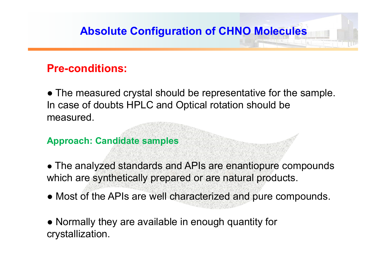## **Pre-conditions:**

● The measured crystal should be representative for the sample. In case of doubts HPLC and Optical rotation should be measured.

#### **Approach: Candidate samples**

**●** The analyzed standards and APIs are enantiopure compounds which are synthetically prepared or are natural products.

● Most of the APIs are well characterized and pure compounds.

● Normally they are available in enough quantity for crystallization.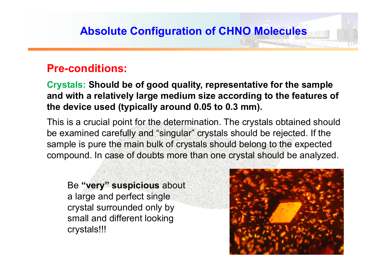### **Pre-conditions:**

**Crystals: Should be of good quality, representative for the sample and with a relatively large medium size according to the features of the device used (typically around 0.05 to 0.3 mm).**

This is a crucial point for the determination. The crystals obtained should be examined carefully and "singular" crystals should be rejected. If the sample is pure the main bulk of crystals should belong to the expected compound. In case of doubts more than one crystal should be analyzed.

Be **"very" suspicious** about a large and perfect single crystal surrounded only by small and different looking crystals!!!

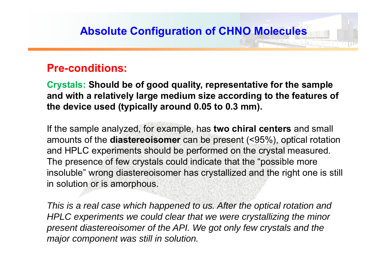#### **Pre-conditions:**

**Crystals: Should be of good quality, representative for the sample and with a relatively large medium size according to the features of the device used (typically around 0.05 to 0.3 mm).**

If the sample analyzed, for example, has **two chiral centers** and small amounts of the **diastereoisomer** can be present (<95%), optical rotation and HPLC experiments should be performed on the crystal measured. The presence of few crystals could indicate that the "possible more insoluble" wrong diastereoisomer has crystallized and the right one is still in solution or is amorphous.

*This is a real case which happened to us. After the optical rotation and HPLC experiments we could clear that we were crystallizing the minor present diastereoisomer of the API. We got only few crystals and the major component was still in solution.*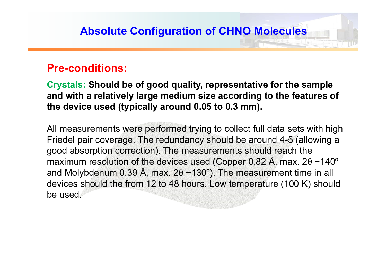#### **Pre-conditions:**

**Crystals: Should be of good quality, representative for the sample and with a relatively large medium size according to the features of the device used (typically around 0.05 to 0.3 mm).**

All measurements were performed trying to collect full data sets with high Friedel pair coverage. The redundancy should be around 4-5 (allowing a good absorption correction). The measurements should reach the maximum resolution of the devices used (Copper 0.82 Å, max.  $2\theta \sim 140^\circ$ and Molybdenum 0.39 Å, max.  $2\theta \sim 130^{\circ}$ ). The measurement time in all devices should the from 12 to 48 hours. Low temperature (100 K) should be used.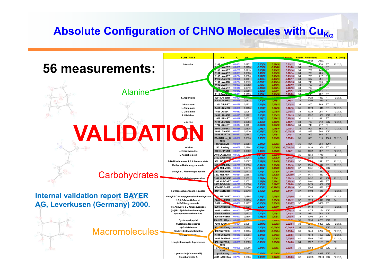# **Absolute Configuration of CHNO Molecules with Cu<sub>Ka</sub>**

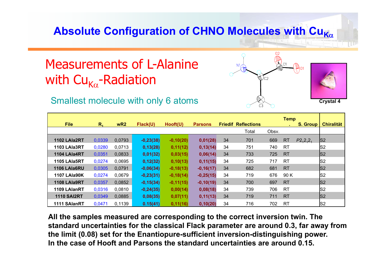# Absolute Configuration of CHNO Molecules with Cu<sub>Kα</sub>

# Measurements of L-Alanine with Cu<sub>ka</sub>-Radiation

#### Smallest molecule with only 6 atoms **Crystal 4 Crystal 4 Crystal 4**



| <b>File</b>         | R <sub>4</sub> | wR2    | Flack(U)    | Hooft(U)    | <b>Parsons</b> |    | <b>Friedif Reflections</b> |       | <b>Temp</b> | <b>S. Group</b> | <b>Chiralität</b> |
|---------------------|----------------|--------|-------------|-------------|----------------|----|----------------------------|-------|-------------|-----------------|-------------------|
|                     |                |        |             |             |                |    | Total                      | Obsv. |             |                 |                   |
| 1102 LAIa2RT        | 0,0339         | 0,0793 | $-0,23(38)$ | $-0,10(20)$ | 0,01(28)       | 34 | 701                        | 669   | <b>RT</b>   | $P2_12_12_1$    | S2                |
| 1103 LAIa3RT        | 0,0280         | 0,0713 | 0,13(28)    | 0,11(12)    | 0,13(14)       | 34 | 751                        | 740   | <b>RT</b>   |                 | S <sub>2</sub>    |
| 1104 LAIa4RT        | 0,0351         | 0,0833 | 0,01(32)    | 0,03(15)    | 0,06(14)       | 34 | 733                        | 725   | <b>RT</b>   |                 | S <sub>2</sub>    |
| 1105 LAIa5RT        | 0,0274         | 0,0695 | 0,12(32)    | 0,10(13)    | 0,11(15)       | 34 | 725                        | 717   | <b>RT</b>   |                 | S2                |
| 1106 LAIa6RU        | 0,0305         | 0,0791 | $-0,06(34)$ | $-0,18(13)$ | $-0,16(17)$    | 34 | 682                        | 681   | <b>RT</b>   |                 | S2                |
| <b>1107 LAIa90K</b> | 0,0274         | 0,0679 | $-0,23(31)$ | $-0,18(14)$ | $-0,25(15)$    | 34 | 719                        | 676   | 90K         |                 | S2                |
| 1108 LAIa9RT        | 0,0357         | 0,0852 | $-0,15(34)$ | $-0,11(15)$ | $-0,10(19)$    | 34 | 700                        | 697   | <b>RT</b>   |                 | S <sub>2</sub>    |
| 1109 LAIanRT        | 0,0316         | 0,0810 | $-0,24(35)$ | 0,00(14)    | 0,08(18)       | 34 | 739                        | 706   | <b>RT</b>   |                 | S2                |
| <b>1110 SAI2RT</b>  | 0,0349         | 0,0885 | 0,08(35)    | 0,07(11)    | 0,11(13)       | 34 | 719                        | 711   | <b>RT</b>   |                 | S2                |
| 1111 SAlanRT        | 0,0471         | 0,1139 | 0.15(41)    | 0,11(16)    | 0,10(20)       | 34 | 716                        | 702   | <b>RT</b>   |                 | S2                |

**All the samples measured are corresponding to the correct inversion twin. The standard uncertainties for the classical Flack parameter are around 0.3, far away from the limit (0.08) set for the Enantiopure-sufficient inversion-distinguishing power. In the case of Hooft and Parsons the standard uncertainties are around 0.15.**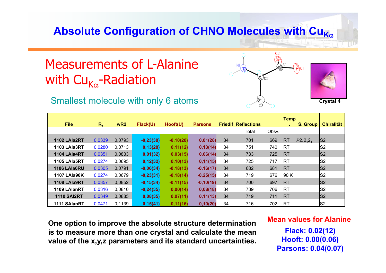# Absolute Configuration of CHNO Molecules with Cu<sub>Kα</sub>

# Measurements of L-Alanine with Cu<sub>ka</sub>-Radiation

#### Smallest molecule with only 6 atoms **Crystal 4 Crystal 4**



|                     |         |        |             |             |                |    |                            |       | <b>Temp</b> |          |                   |
|---------------------|---------|--------|-------------|-------------|----------------|----|----------------------------|-------|-------------|----------|-------------------|
| <b>File</b>         | $R_{4}$ | wR2    | Flack(U)    | Hooft(U)    | <b>Parsons</b> |    | <b>Friedif Reflections</b> |       |             | S. Group | <b>Chiralität</b> |
|                     |         |        |             |             |                |    | Total                      | Obsv. |             |          |                   |
| 1102 LAIa2RT        | 0,0339  | 0,0793 | $-0,23(38)$ | $-0,10(20)$ | 0,01(28)       | 34 | 701                        | 669   | <b>RT</b>   | P2,2,2,2 | S2                |
| 1103 LAIa3RT        | 0,0280  | 0,0713 | 0,13(28)    | 0,11(12)    | 0,13(14)       | 34 | 751                        | 740   | <b>RT</b>   |          | S <sub>2</sub>    |
| 1104 LAIa4RT        | 0,0351  | 0,0833 | 0,01(32)    | 0,03(15)    | 0,06(14)       | 34 | 733                        | 725   | <b>RT</b>   |          | S2                |
| 1105 LAIa5RT        | 0,0274  | 0,0695 | 0,12(32)    | 0,10(13)    | 0,11(15)       | 34 | 725                        | 717   | <b>RT</b>   |          | S2                |
| 1106 LAIa6RU        | 0,0305  | 0,0791 | $-0,06(34)$ | $-0,18(13)$ | $-0,16(17)$    | 34 | 682                        | 681   | <b>RT</b>   |          | S2                |
| <b>1107 LAIa90K</b> | 0,0274  | 0.0679 | $-0,23(31)$ | $-0,18(14)$ | $-0,25(15)$    | 34 | 719                        | 676   | 90 K        |          | S <sub>2</sub>    |
| 1108 LAIa9RT        | 0,0357  | 0,0852 | $-0,15(34)$ | $-0,11(15)$ | $-0,10(19)$    | 34 | 700                        | 697   | <b>RT</b>   |          | S <sub>2</sub>    |
| 1109 LAIanRT        | 0,0316  | 0,0810 | $-0,24(35)$ | 0,00(14)    | 0,08(18)       | 34 | 739                        | 706   | <b>RT</b>   |          | S <sub>2</sub>    |
| <b>1110 SAI2RT</b>  | 0,0349  | 0,0885 | 0,08(35)    | 0,07(11)    | 0,11(13)       | 34 | 719                        | 711   | <b>RT</b>   |          | S2                |
| 1111 SAlanRT        | 0,0471  | 0.1139 | 0.15(41)    | 0,11(16)    | 0,10(20)       | 34 | 716                        | 702   | <b>RT</b>   |          | S <sub>2</sub>    |

**One option to improve the absolute structure determination is to measure more than one crystal and calculate the mean value of the x,y,z parameters and its standard uncertainties.**

#### **Mean values for Alanine**

**Flack: 0.02(12) Hooft: 0.00(0.06) Parsons: 0.04(0.07)**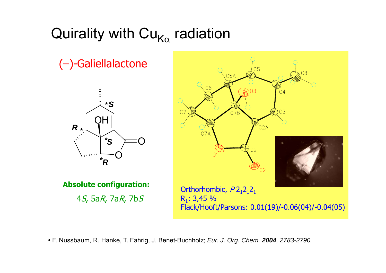# Quirality with Cu $_{\mathsf{K}\alpha}$  radiation

(–)-Galiellalactone



**Absolute configuration:**

4S, 5aR, 7aR, 7bS



**•** F. Nussbaum, R. Hanke, T. Fahrig, J. Benet-Buchholz; *Eur. J. Org. Chem. 2004, 2783-2790.*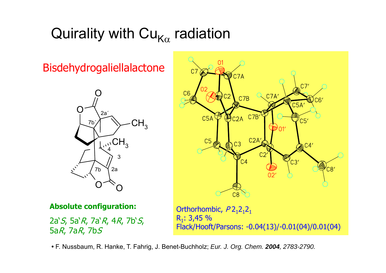# Quirality with Cu $_{\mathsf{K}\alpha}$  radiation

Bisdehydrogaliellalactone





#### **Absolute configuration:**

2a`*S*, 5a`*R*, 7a`*R*, 4*R*, 7b`*S*, 5a R, 7a R, 7b S

Orthorhombic,  $P2_12_12_1$  $R_1: 3,45 %$ Flack/Hooft/Parsons: -0.04(13)/-0.01(04)/0.01(04)

**•** F. Nussbaum, R. Hanke, T. Fahrig, J. Benet-Buchholz; *Eur. J. Org. Chem. 2004, 2783-2790.*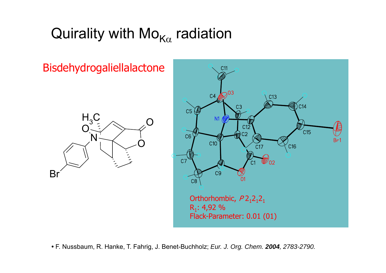# Quirality with Mo $_{\mathsf{K}\alpha}$  radiation

Bisdehydrogaliellalactone





**•** F. Nussbaum, R. Hanke, T. Fahrig, J. Benet-Buchholz; *Eur. J. Org. Chem. 2004, 2783-2790.*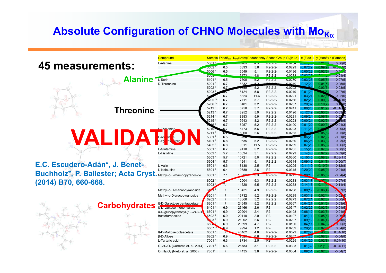# Absolute Configuration of CHNO Molecules with Mo<sub>Kα</sub>

|                                                                                    | Compound                                  |                                        |                |                |            | Sample Friedif <sub>stat</sub> N <sub>ind</sub> (I>4 $\sigma$ ) Redundancy Space Group $R_1(1>4\sigma)$ x (Flack) |                  |                         |                       | v (Hooft) z (Parsons) |
|------------------------------------------------------------------------------------|-------------------------------------------|----------------------------------------|----------------|----------------|------------|-------------------------------------------------------------------------------------------------------------------|------------------|-------------------------|-----------------------|-----------------------|
|                                                                                    | L-Alanine                                 | 5001 <sup>a</sup>                      |                | 9200           | 4.D        | $PZ_1Z_1Z_1$                                                                                                      | <b>U.UZ04</b>    | שוטישים                 |                       | 0.06(8)               |
| <b>45 measurements:</b>                                                            |                                           | 5002 <sup>a</sup>                      | 6.5            | 6393           | 5.6        | $P2_12_12_1$                                                                                                      | 0.0299           | $-0.07(29)$             | - 0.09(9              | $-0.55(10)$           |
|                                                                                    |                                           | 5006 <sup>a</sup>                      | 6.5            | 6549           | 5.1        | $P2_12_12_1$                                                                                                      | 0.0196           | 0.05(22)                | $-0.02(5)$            | 0.02(3)               |
|                                                                                    |                                           | 500 <sub>o</sub>                       |                | 6172           | 4.8        | $P212121$                                                                                                         | 0.0238           | 0.02(22)                |                       | $-0.01(4)$            |
| Alanine                                                                            | L-Serin<br>D-Threonine                    | 5101 <sup>a</sup><br>5201 <sup>a</sup> | 6.5<br>6.7     | 7308<br>8832   | 5.2<br>52  | $PZ_1Z_1Z_1$                                                                                                      | 0.0270<br>0.0210 | 0.03(28)<br>0.12(22)    | 0.05(5)               | 0.07(5)               |
|                                                                                    |                                           | 5202 <sup>a</sup>                      | 6.7            | თაშ            | 5.2        | $P2_12_12_1$                                                                                                      | 0.0202           |                         | 0.04(5)<br>$-0.03(6)$ | 0.05(5)<br>$-0.03(5)$ |
|                                                                                    |                                           | 5203 <sup>a</sup>                      |                | 8124           | 5.8        | $P2_12_12_1$                                                                                                      | 0.0219           | 0.01(24)                |                       | 0.07(6)               |
|                                                                                    |                                           |                                        | 6.7            | 8324           | 11.6       | $P2_12_12_1$                                                                                                      | 0.0221           | 0.03(24)                | 0.02(                 | 0.02(6)               |
|                                                                                    |                                           | $5205$ <sup>1,a</sup>                  | 6.7            | 7711           | 3.7        | $P2_12_12_1$                                                                                                      | 0.0266           | 0.02(29)                | 0.00(9)               | 1(10)                 |
|                                                                                    |                                           | $5206$ <sup>1,a</sup>                  | 6.7            | 6401           | 3.2        | $P2_12_12_1$                                                                                                      | 0.0237           | 0.29(32)                | 0.10(7)               | 0.1                   |
| <b>Threonine</b>                                                                   |                                           | 5212 <sup>b</sup>                      | 6.7            | 8758           | 5.7        | $P2_12_12_1$                                                                                                      | 0.0241           | 0.08(26)                | 0.01(9)               | $-0.01($              |
|                                                                                    |                                           | 5213 <sup>a</sup>                      | 6.7            | 8952           | 5.9        | $P2_12_12_1$                                                                                                      | 0.0196           | $-0.12(19)$             | $-0.03(5)$            | $-0.03$               |
|                                                                                    |                                           | 5214 <sup>b</sup>                      | 6.7            | 8883           | 5.9        | $P2_12_12_1$                                                                                                      | 0.0231           | 0.09(24)                | 0.06(7)               | 0.0                   |
|                                                                                    |                                           | 5215 $^{\circ}$                        | 6.7<br>6.7     | 9543<br>8257   | 8.2<br>5.2 | $P2_12_12_1$<br>$P2_12_12_1$                                                                                      | 0.0223<br>0.0190 | 0.00(21)<br>0.01(22)    | $-0.02(5)$<br>0.00(   | 3(5)<br>0.01(3)       |
|                                                                                    | L-Threonine                               | 5210                                   | 6.7            | 8473           | 5.6        | $P2_12_12_1$                                                                                                      | 0.0223           | 0.11(23)                | 0 <sub>0</sub>        | 0.09(3)               |
|                                                                                    |                                           | 5211 <sup>a</sup>                      | 6.7            | 8060           | 2.6        | $P2_12_12_1$                                                                                                      | 0.0235           | 0.0749                  | 0.05(8)               | 0.05(8)               |
|                                                                                    | $\frac{1}{\alpha}$                        | 5301 <sup>a</sup>                      | 6.5            | 8254           |            |                                                                                                                   |                  | 0.06(23)                | 0.02(9)               | $-0.01(8)$            |
| <b>VALIDAT:</b>                                                                    |                                           | 5401 <sup>a</sup>                      | 6.8            | 9535           | 5.2        | $P2_12_12_1$                                                                                                      | 0.0230           | 0.06(26)                | 0.03(3)               | 0.03(3)               |
|                                                                                    |                                           | 5402 <sup>a</sup>                      | 6.8            | 9311           | 11.5       | $P2_12_12_1$                                                                                                      | 0.0239           | 0.07(26)                | 0.05(3)               | 0.06(3)               |
|                                                                                    | L-Glutamine                               | 5501 <sup>a</sup>                      | 6.7            | 9418           | 5.2        | $P2_12_12_1$                                                                                                      | 0.0205           | 0.15(20)                | 0.07(5)               | 0.08(5)               |
|                                                                                    | L-Histidine                               | 5602 <sup>a</sup>                      | 5.7            | 10624          | 5.1        | $P2_12_12_1$                                                                                                      | 0.0299           | 0.14(40)                | 0.07(7)               | 0.09(6)               |
|                                                                                    |                                           | 5603 <sup>a</sup><br>5604 <sup>a</sup> | 5.7<br>5.7     | 10721<br>11241 | 5.0<br>5.1 | $P2_12_12_1$                                                                                                      | 0.0360<br>0.0314 | $-0.10(45)$<br>0.09(42) | 0.08(8)<br>0.01(7)    | 0.08(11)<br>0.00(7)   |
| E.C. Escudero-Adán*, J. Benet-                                                     | L-Valin                                   | 5701 <sup>a</sup>                      | 6.6            | 18138          | 2.5        | $P2_12_12_1$<br>P2 <sub>1</sub>                                                                                   | 0.0295           | 0.11(19)                | 0.10(9)               | 0.12(8)               |
|                                                                                    | L-Isoleucine                              | 5801 <sup>a</sup>                      | 6.4            | 19689          | 2.6        | P2 <sub>1</sub>                                                                                                   | 0.0315           | $-0.20(20)$             | $-0.05(9)$            | $-0.04(8)$            |
| <b>Buchholz<sup>*</sup>, P. Ballester; Acta Cryst. Methyl-a-L-rhamnopyranoside</b> |                                           | 6001 <sup>a</sup>                      | 7.1            | 13300          | 5.3        | $P2_12_12_1$                                                                                                      | 0.0217           | 0.08(16)                | $-0.05(5)$            | $-0.04(4)$            |
|                                                                                    |                                           | 6002 <sup>a</sup>                      |                | 12004          | 5.3        | $P2_12_12_1$                                                                                                      | 0.0233           | 0.03(17)                | 0.27(4)               | 0.07(4)               |
| (2014) B70, 660-668.                                                               |                                           | 6003 <sup>a</sup>                      | 7.1            | 11628          | 5.5        | $P2_12_12_1$                                                                                                      | 0.0238           | 0.14(18)                | 0.11(4)               | 0.11(4)               |
|                                                                                    | Methyl-α-D-mannopyranoside                | $61 J1^a$                              | $\overline{7}$ | 13431          | 4.9        | $P2_12_12_1$                                                                                                      | 0.0208           | $-0.08(17)$             | $-0.06(4)$            | $-0.07(3)$            |
|                                                                                    | Methyl-α-D-glucopyranoside                | 6201 <sup>a</sup>                      | $\overline{7}$ | 13732          | 5.2        | $P2_12_12_1$                                                                                                      | 0.0239           | 0.03(18)                | 0.02(4)               | 0.02(4)               |
|                                                                                    |                                           | 6202 <sup>a</sup>                      | $\overline{7}$ | 13666          | 5.2        | $P2_12_12_1$                                                                                                      | 0.0273           | 0.07(21)                | 0.02(6)               | 0.00(6)               |
| <b>Carbohydrates</b>                                                               | ß-D-Galactose pentaacetate                | 6301 <sup>a</sup>                      | $\overline{7}$ | 24645          | 5.2        | $P2_12_12_1$                                                                                                      | 0.0367           | $-0.04(21)$             | 0.01(5)               | 0.03(6)               |
|                                                                                    | ß-D-Lactose monohydrate                   | 6401 <sup>a</sup>                      | 6.9            | 23466          | 2.6        | P2 <sub>1</sub>                                                                                                   | 0.0347           | $-0.02(22)$             | $-0.02(5)$            | 0.01(5)               |
|                                                                                    | α-D-qlucopγranosγl-(1→2)-β-D <sup>!</sup> | 6501 <sup>a</sup>                      | 6.9            | 20204          | 2.4        | P2 <sub>1</sub>                                                                                                   | 0.0198           | $-0.06(12)$             | 0.03(5)               | $-0.01(5)$            |
|                                                                                    | fructofuranoside                          | 6502 <sup>a</sup><br>503 <sup>a</sup>  | 6.9<br>6.9     | 20110<br>21902 | 2.9<br>2.6 | P2 <sub>1</sub><br>P2 <sub>1</sub>                                                                                | 0.0197<br>0.0207 | 0.04(11)<br>$-0.09(12)$ | 0.05(4)<br>$-0.04(4)$ | 0.06(3)<br>$-0.4(5)$  |
|                                                                                    |                                           | 650-                                   | 6.9            | 20599          | 4.7        | P2 <sub>1</sub>                                                                                                   | 0.0190           | 0.04(11)                | 0.04(3)               | 0.05(3)               |
|                                                                                    |                                           | 6507                                   | 6.9            | 9994           | 1.2        | P2 <sub>1</sub>                                                                                                   | 0.0239           | $-0.20(20)$             | 0.07/9                | 0.04(8)               |
|                                                                                    | ß-D-Maltose octaacetate                   | 6601                                   | $\tau$         | 40462          | 4.8        | $P2_12_12_1$                                                                                                      | 0.0629           | 0.02(33)                | $-0.03(8)$            | 0.04(10)              |
|                                                                                    | <b>B-D-Allose</b>                         | 6802 <sup>a</sup>                      | 6.9            | <b>YOZ.</b>    | 66         | $P2_12_12_1$                                                                                                      | 0.0267           | $-1/25$                 | $-0.08(8)$            | $-0.04(8)$            |
|                                                                                    | L-Tartaric acid                           | 7001 <sup>a</sup>                      | 6.3            | 8734           | 2.5        | $PZ_1$                                                                                                            | 0.0225           | 0.04(20)                | 0.02(8)               | 0.04(10)              |
|                                                                                    | $C_{15}H_{26}O_2$ (Carreras et. al. 2014) | 7701 <sup>a</sup>                      | 5.6            | 26783          | 3.1        | $P2_12_12$                                                                                                        | 0.0393           | $-0.01(32)$             | $-0.02(10)$           | $-0.04(11)$           |
|                                                                                    | $C_{11}H_{14}O_6$ (Nieto et. al. 2005)    | 7801ª                                  | $\overline{7}$ | 14435          | 3.8        | $P2_12_12_1$                                                                                                      | 0.0364           | 0.09(31)                | $-0.02(8)$            | $-0.04(7)$            |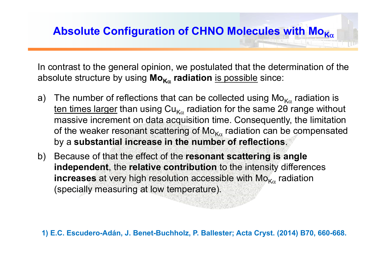In contrast to the general opinion, we postulated that the determination of the absolute structure by using **Mo K radiation** is possible since:

- a)  $\;$  The number of reflections that can be collected using Mo $_{\mathsf{K}\alpha}$  radiation is ten times larger than using Cu<sub>Κα</sub> radiation for the same 2θ range without massive increment on data acquisition time. Consequently, the limitation of the weaker resonant scattering of Mo $_{\mathsf{K}\alpha}$  radiation can be compensated by a **substantial increase in the number of reflections**.
- b) Because of that the effect of the **resonant scattering is angle independent**, the **relative contribution** to the intensity differences  $\boldsymbol{\mathsf{increase}}$  at very high resolution accessible with  $\boldsymbol{\mathsf{Mo}}_{\mathsf{K}\alpha}$  radiation (specially measuring at low temperature).

1) E.C. Escudero-Adán, J. Benet-Buchholz, P. Ballester; Acta Cryst. (2014) B70, 660-668.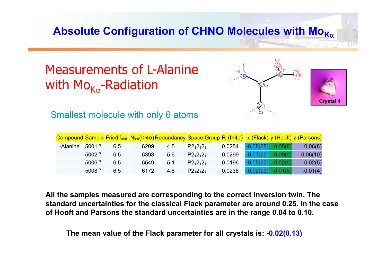# Absolute Configuration of CHNO Molecules with Μο<sub>Κα</sub>

# Measurements of L-Alaninewith Mo<sub>ka</sub>-Radiation



Smallest molecule with only 6 atoms

|           |                   |     |      |     | Compound Sample Friedif <sub>stat</sub> N <sub>ind</sub> (I>4 $\sigma$ )Redundancy Space Group R <sub>1</sub> (I>4 $\sigma$ ) x (Flack) y (Hooft) z (Parsons) |        |                       |                     |             |
|-----------|-------------------|-----|------|-----|---------------------------------------------------------------------------------------------------------------------------------------------------------------|--------|-----------------------|---------------------|-------------|
| L-Alanine | 5001 $a$          | 6.5 | 6209 | 4.5 | $P2_12_12_1$                                                                                                                                                  | 0.0254 | $-0.08(28)$           | 0.05(8)             | 0.06(8)     |
|           | 5002 $a$          | 6.5 | 6393 | 5.6 | $P2_12_12_1$                                                                                                                                                  | 0.0299 | $-0.07(29) - 0.09(9)$ |                     | $-0.06(10)$ |
|           | 5006 <sup>a</sup> | 6.5 | 6549 | 5.1 | $P2_12_12_1$                                                                                                                                                  | 0.0196 |                       | $0.05(22)$ -0.02(5) | 0.02(5)     |
|           | 5008 $b$          | 6.5 | 6172 | 4.8 | $P2_12_12_1$                                                                                                                                                  | 0.0238 | 0.02(23)              | $-0.01(5)$          | $-0.01(4)$  |

**All the samples measured are corresponding to the correct inversion twin. The standard uncertainties for the classical Flack parameter are around 0.25. In the case of Hooft and Parsons the standard uncertainties are in the range 0.04 to 0.10.**

**The mean value of the Flack parameter for all crystals is: -0.02(0.13)**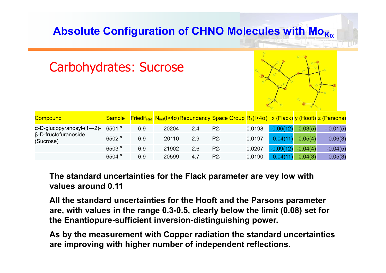# **Absolute Configuration of CHNO Molecules with Mo<sub>Κα</sub>**

| <b>Carbohydrates: Sucrose</b>                    |                   |     |       |     |                                                                                                                                        |        |             |            |            |
|--------------------------------------------------|-------------------|-----|-------|-----|----------------------------------------------------------------------------------------------------------------------------------------|--------|-------------|------------|------------|
| <b>Compound</b>                                  | <b>Sample</b>     |     |       |     | $Friedif_{stat}$ N <sub>ind</sub> (I>4 $\sigma$ )Redundancy Space Group R <sub>1</sub> (I>4 $\sigma$ ) x (Flack) y (Hooft) z (Parsons) |        |             |            |            |
| $\alpha$ -D-glucopyranosyl- $(1\rightarrow 2)$ - | 6501 <sup>a</sup> | 6.9 | 20204 | 2.4 | P2 <sub>1</sub>                                                                                                                        | 0.0198 | $-0.06(12)$ | 0.03(5)    | $-0.01(5)$ |
| $\beta$ -D-fructofuranoside<br>(Sucrose)         | 6502 <sup>a</sup> | 6.9 | 20110 | 2.9 | P2 <sub>1</sub>                                                                                                                        | 0.0197 | 0.04(11)    | 0.05(4)    | 0.06(3)    |
|                                                  | 6503 <sup>a</sup> | 6.9 | 21902 | 2.6 | P2 <sub>1</sub>                                                                                                                        | 0.0207 | $-0.09(12)$ | $-0.04(4)$ | $-0.04(5)$ |
|                                                  | 6504 <sup>a</sup> | 6.9 | 20599 | 4.7 | P2 <sub>1</sub>                                                                                                                        | 0.0190 | 0.04(11)    | 0.04(3)    | 0.05(3)    |

#### **The standard uncertainties for the Flack parameter are vey low with values around 0.11**

**All the standard uncertainties for the Hooft and the Parsons parameter are, with values in the range 0.3-0.5, clearly below the limit (0.08) set for the Enantiopure-sufficient inversion-distinguishing power.**

**As by the measurement with Copper radiation the standard uncertainties are improving with higher number of independent reflections.**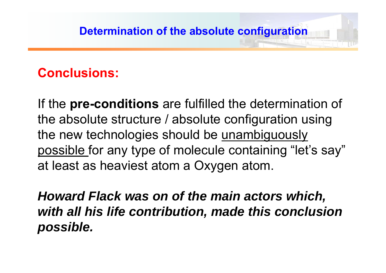# **Conclusions:**

If the **pre-conditions** are fulfilled the determination of the absolute structure / absolute configuration using the new technologies should be unambiguously possible for any type of molecule containing "let's say" at least as heaviest atom a Oxygen atom.

*Howard Flack was on of the main actors which, with all his life contribution, made this conclusion possible.*